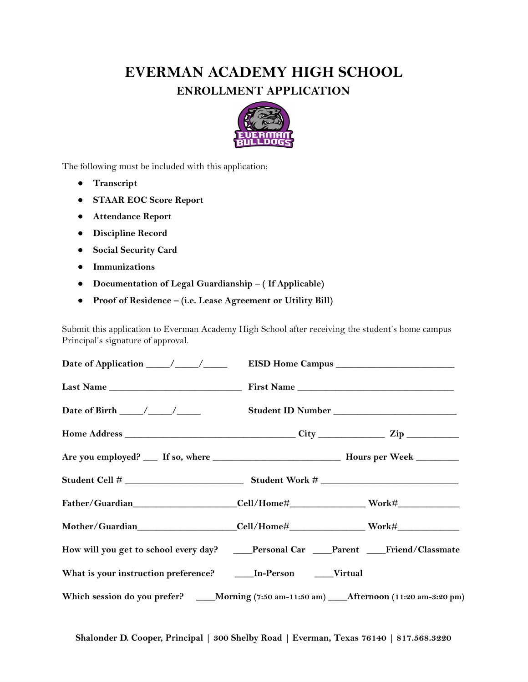## **EVERMAN ACADEMY HIGH SCHOOL ENROLLMENT APPLICATION**



The following must be included with this application:

- **● Transcript**
- **● STAAR EOC Score Report**
- **● Attendance Report**
- **● Discipline Record**
- **● Social Security Card**
- **● Immunizations**
- **● Documentation of Legal Guardianship – ( If Applicable)**
- **● Proof of Residence – (i.e. Lease Agreement or Utility Bill)**

 Submit this application to Everman Academy High School after receiving the student's home campus Principal's signature of approval.

|                                                                                            | First Name |  |
|--------------------------------------------------------------------------------------------|------------|--|
|                                                                                            |            |  |
|                                                                                            |            |  |
|                                                                                            |            |  |
|                                                                                            |            |  |
| Father/Guardian Cell/Home# Work#                                                           |            |  |
| Mother/Guardian Cell/Home# Work# Work Museum                                               |            |  |
| How will you get to school every day? ____Personal Car ____Parent ___Friend/Classmate      |            |  |
| What is your instruction preference? ______ In-Person ______Virtual                        |            |  |
| Which session do you prefer? ___Morning (7:50 am-11:50 am) ___Afternoon (11:20 am-3:20 pm) |            |  |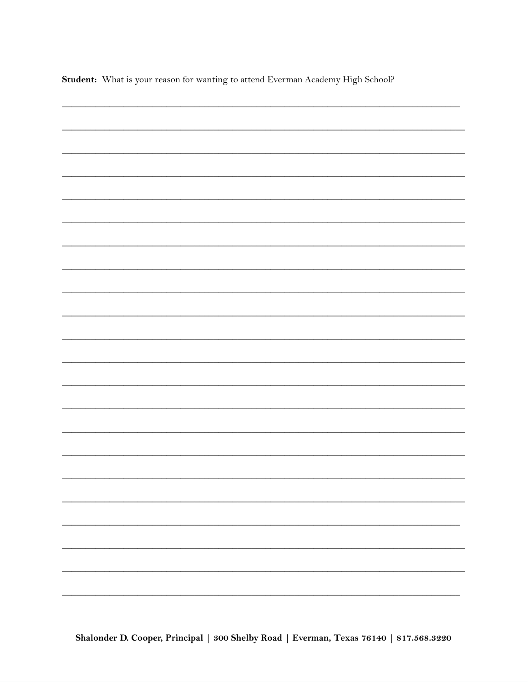Student: What is your reason for wanting to attend Everman Academy High School?

| $\overline{\phantom{0}}$ |
|--------------------------|
|                          |
|                          |
|                          |
| -                        |
|                          |
|                          |
|                          |
|                          |
|                          |
|                          |
|                          |
|                          |